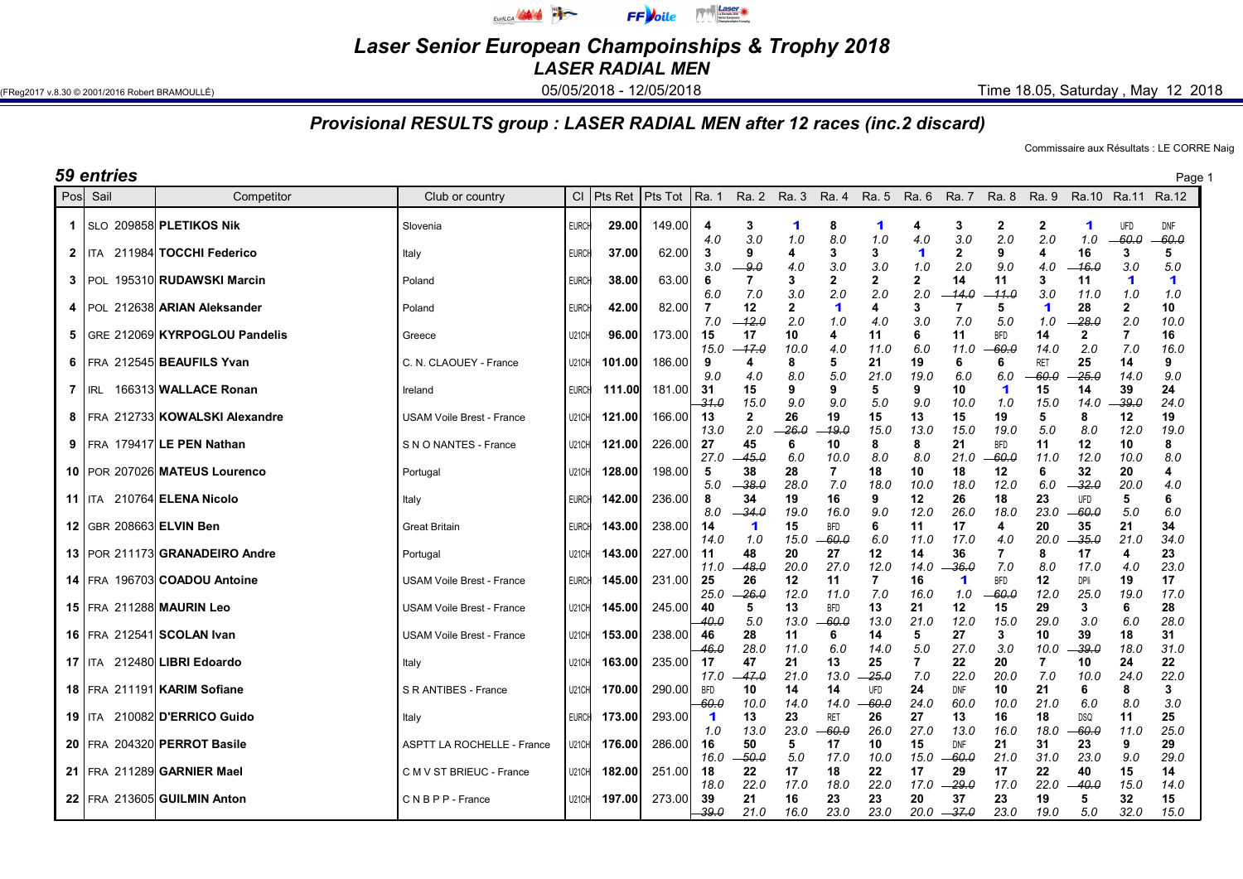

Laser Senior European Champoinships & Trophy 2018

LASER RADIAL MEN

(FReg2017 v.8.30 © 2001/2016 Robert BRAMOULLÉ) **05/05/2018 - 05/05/2018 - 12/05/2018** Time 18.05, Saturday , May 12 2018

## Provisional RESULTS group : LASER RADIAL MEN after 12 races (inc.2 discard)

Commissaire aux Résultats : LE CORRE Naig

| Pos<br>$Cl$ Pts Ret Pts Tot<br>Ra. 1<br>Ra. 5<br>Sail<br>Ra. 2 Ra. 3<br>Ra. 4<br>Ra. 6<br>Ra. 7<br>Ra. 8<br>Ra. 9<br>Ra.10<br>Ra.11 Ra.12<br>Competitor<br>Club or country<br>SLO 209858 PLETIKOS Nik<br>149.00<br><b>EURCH</b><br>29.00<br>3<br>8<br>3<br>2<br>$\mathbf{2}$<br>UFD<br>-1<br>Slovenia<br>4<br>-1<br>1<br>4<br>1<br>3.0<br>3.0<br>2.0<br>2.0<br>$-60.0$<br>1.0<br>8.0<br>1.0<br>4.0<br>1.0<br>4.0<br>62.00<br>3<br>9<br>$\overline{2}$<br>211984 TOCCHI Federico<br>37.00<br>3<br>3<br>$\blacktriangleleft$<br>9<br>16<br>3<br>$\mathbf{2}$<br>4<br>4<br><b>ITA</b><br><b>EURCH</b><br>Italy<br>3.0<br>2.0<br>9.0<br>3.0<br>3.0<br>3.0<br>1.0<br>9.0<br>4.0<br>-16.0<br>4.0<br>195310 RUDAWSKI Marcin<br>2<br>2<br>2<br>14<br>11<br>3<br><b>EURCH</b><br>63.00<br>6<br>3<br>11<br>-1<br>l POL<br>38.00<br>3<br>Poland<br>2.0<br>2.0<br>6.0<br>7.0<br>3.0<br>2.0<br>$-14.0$<br>-11.0<br>3.0<br>1.0<br>11.0<br>$\mathbf{2}$<br>3<br>28<br>$\mathbf{2}$<br>212638 ARIAN Aleksander<br>82.00<br>7<br>12<br>$\blacktriangleleft$<br>5<br>$\blacktriangleleft$<br>42.00<br>4<br>  POL<br><b>EURCH</b><br>4<br>Poland<br>2.0<br>7.0<br>-12.0<br>2.0<br>3.0<br>7.0<br>5.0<br>-28.0<br>1.0<br>4.0<br>1.0<br>GRE 212069 KYRPOGLOU Pandelis<br>173.00<br>15<br>17<br>10<br><b>BFD</b><br>14<br>U21CH<br>96.00<br>4<br>11<br>6<br>11<br>$\mathbf{2}$<br>7<br>5.<br>Greece<br>-17.0<br>6.0<br>60.0<br>2.0<br>7.0<br>15.0<br>10.0<br>4.0<br>11.0<br>11.0<br>14.0<br>6   FRA 212545 BEAUFILS Yvan<br>186.00<br>21<br>19<br>25<br>14<br>C. N. CLAOUEY - France<br>U21CH<br>101.00<br>9<br>8<br>5<br><b>RET</b><br>6<br>6<br>4<br>25.0<br>9.0<br>8.0<br>5.0<br>21.0<br>19.0<br>6.0<br>4.0<br>6.0<br>60.0<br>14.0<br>166313 WALLACE Ronan<br>39<br><b>EURCH</b><br>181.00<br>-31<br>9<br>9<br>10<br>$\blacktriangleleft$<br>15<br>14<br>7<br>IRL<br>111.00<br>15<br>9<br>5<br>Ireland<br>$-31.0$<br>9.0<br>9.0<br>15.0<br>9.0<br>5.0<br>10.0<br>1.0<br>15.0<br>14.0<br>-39.0<br>8   FRA 212733 KOWALSKI Alexandre<br>166.00<br>13<br>$\mathbf{2}$<br>26<br>15<br>8<br>12<br>121.00<br>19<br>15<br>13<br>19<br>5<br><b>USAM Voile Brest - France</b><br>U21CH<br>2.0<br>8.0<br>13.0<br>26.0<br>-19.0<br>15.0<br>13.0<br>15.0<br>19.0<br>5.0<br>12.0<br>27<br>$9$   FRA 179417 LE PEN Nathan<br>226.00<br>45<br>10<br>S N O NANTES - France<br>121.00<br>6<br>10<br>8<br>8<br>21<br><b>BFD</b><br>11<br>12<br>U21CH<br>27.0<br>45.0<br>6.0<br>8.0<br>8.0<br>21.0<br>12.0<br>10.0<br>10.0<br>-60.0<br>11.0<br>32<br>10   POR 207026 MATEUS Lourenco<br>5<br>38<br>28<br>10<br>20<br>128.00<br>198.00<br>7<br>18<br>18<br>12<br>6<br>U21CH<br>Portugal<br>5.0<br>-38.0<br>28.0<br>7.0<br>6.0<br>-32.0<br>20.0<br>18.0<br>10.0<br>18.0<br>12.0<br><b>11   ITA 210764 ELENA Nicolo</b><br>34<br>12<br>142.00<br>236.00<br>8<br>19<br>16<br>9<br>26<br>18<br>23<br>UFD<br><b>EURCH</b><br>5<br>Italy<br>8.0<br>-34.0<br>9.0<br>12.0<br>26.0<br>18.0<br>23.0<br>-60.0<br>5.0<br>19.0<br>16.0<br>12   GBR 208663 ELVIN Ben<br>14<br>6<br>20<br>35<br>21<br>143.00<br>238.00<br>15<br><b>BFD</b><br>11<br>17<br><b>Great Britain</b><br><b>EURCH</b><br>1<br>4<br>35.0<br>1.0<br>15.0<br>-60.0<br>6.0<br>11.0<br>17.0<br>20.0<br>21.0<br>14.0<br>4.0<br>13   POR 211173 GRANADEIRO Andre<br>227.00<br>48<br>20<br>12<br>14<br>36<br>143.00<br>11<br>27<br>7<br>8<br>17<br>Portugal<br>U21CH<br>4<br>-48.0<br>20.0<br>27.0<br>12.0<br>-36.0<br>7.0<br>8.0<br>17.0<br>11.0<br>14.0<br>4.0<br>14   FRA 196703 COADOU Antoine<br>231.00<br>25<br>26<br>19<br>145.00<br>12<br>11<br>7<br>16<br><b>BFD</b><br>12<br>DPli<br><b>USAM Voile Brest - France</b><br><b>EURCH</b><br>1<br>25.0<br>-26.0<br>12.0<br>7.0<br>1.0<br>-60.0<br>25.0<br>11.0<br>16.0<br>12.0<br>19.0<br>15   FRA 211288 MAURIN Leo<br>245.00<br>40<br>13<br>13<br>21<br>12<br>29<br>3<br><b>USAM Voile Brest - France</b><br>U21CH<br>145.00<br>5<br><b>BFD</b><br>15<br>6<br>5.0<br>21.0<br>3.0<br>6.0<br>40.0<br>13.0<br>-60.0<br>13.0<br>12.0<br>15.0<br>29.0<br>16   FRA 212541 SCOLAN Ivan<br>238.00<br>27<br>153.00<br>46<br>28<br>14<br>5<br>3<br>10<br>39<br>18<br><b>USAM Voile Brest - France</b><br>U21CH<br>11<br>6<br>28.0<br>5.0<br>46.0<br>6.0<br>27.0<br>3.0<br>10.0<br>-39.0<br>18.0<br>11.0<br>14.0<br>17   ITA 212480 LIBRI Edoardo<br>235.00<br>17<br>47<br>21<br>25<br>7<br>22<br>20<br>10<br>24<br>163.00<br>13<br>7<br>U21CH<br>Italy<br>47.0<br>21.0<br>25.0<br>7.0<br>22.0<br>20.0<br>7.0<br>24.0<br>17.0<br>13.0<br>10.0<br>24<br>18   FRA 211191 KARIM Sofiane<br>290.00<br><b>BFD</b><br>10<br>14<br>21<br>6<br>8<br>S R ANTIBES - France<br>170.00<br>14<br>UFD<br>10<br>U21CH<br>DNF<br>$-60.0$<br>24.0<br>21.0<br>8.0<br>10.0<br>14.0<br>14.0<br>60.0<br>10.0<br>6.0<br>-60.0<br><b>19   ITA 210082 D'ERRICO Guido</b><br>27<br><b>EURCH</b><br>173.00<br>293.00<br>13<br>23<br><b>RET</b><br>26<br>13<br>16<br>18<br><b>DSQ</b><br>11<br>-1<br>Italy<br>23.0<br>27.0<br>60.0<br>13.0<br>-60.0<br>26.0<br>13.0<br>18.0<br>11.0<br>16.0<br>1.0<br>20 FRA 204320 PERROT Basile<br>286.00<br>50<br>15<br>31<br><b>ASPTT LA ROCHELLE - France</b><br>176.00<br>16<br>5<br>17<br>10<br><b>DNF</b><br>21<br>23<br>9<br>U21CH<br>9.0<br>50.0<br>5.0<br>17.0<br>10.0<br>15.0<br>-60.0<br>21.0<br>31.0<br>23.0<br>16.0<br>21   FRA 211289 GARNIER Mael<br>182.00<br>251.00<br>18<br>17<br>18<br>22<br>17<br>29<br>17<br>22<br>15<br>22<br>40<br>C M V ST BRIEUC - France<br>U21CH<br>22.0<br>22.0<br>-29.0<br>22.0<br>40.0<br>18.0<br>17.0<br>18.0<br>17.0<br>17.0<br>15.0<br>273.00<br>22 FRA 213605 GUILMIN Anton<br>197.00<br>39<br>32<br>CNBPP-France<br>21<br>16<br>23<br>23<br>20<br>37<br>23<br>19<br><b>U21CH</b><br>5 | <b>59 entries</b><br>Page 1 |  |  |  |  |  |  |  |  |  |  |  |  |  |  |                |  |
|--------------------------------------------------------------------------------------------------------------------------------------------------------------------------------------------------------------------------------------------------------------------------------------------------------------------------------------------------------------------------------------------------------------------------------------------------------------------------------------------------------------------------------------------------------------------------------------------------------------------------------------------------------------------------------------------------------------------------------------------------------------------------------------------------------------------------------------------------------------------------------------------------------------------------------------------------------------------------------------------------------------------------------------------------------------------------------------------------------------------------------------------------------------------------------------------------------------------------------------------------------------------------------------------------------------------------------------------------------------------------------------------------------------------------------------------------------------------------------------------------------------------------------------------------------------------------------------------------------------------------------------------------------------------------------------------------------------------------------------------------------------------------------------------------------------------------------------------------------------------------------------------------------------------------------------------------------------------------------------------------------------------------------------------------------------------------------------------------------------------------------------------------------------------------------------------------------------------------------------------------------------------------------------------------------------------------------------------------------------------------------------------------------------------------------------------------------------------------------------------------------------------------------------------------------------------------------------------------------------------------------------------------------------------------------------------------------------------------------------------------------------------------------------------------------------------------------------------------------------------------------------------------------------------------------------------------------------------------------------------------------------------------------------------------------------------------------------------------------------------------------------------------------------------------------------------------------------------------------------------------------------------------------------------------------------------------------------------------------------------------------------------------------------------------------------------------------------------------------------------------------------------------------------------------------------------------------------------------------------------------------------------------------------------------------------------------------------------------------------------------------------------------------------------------------------------------------------------------------------------------------------------------------------------------------------------------------------------------------------------------------------------------------------------------------------------------------------------------------------------------------------------------------------------------------------------------------------------------------------------------------------------------------------------------------------------------------------------------------------------------------------------------------------------------------------------------------------------------------------------------------------------------------------------------------------------------------------------------------------------------------------------------------------------------------------------------------------------------------------------------------------------------------------------------------------------------------------------------------------------------------------------------------------------------------------------------------------------------------------------------------------------------------------------------------------------------------------------------------------------------------------------------------------------------------------------------------------------------------------------------------------------------------------------------------------------------------------------------------------------------------------------------------------------------------------------------------------------------------------------------------------------------------------------------------------------------------------------------------------------------------------------------------------------------------------------------------|-----------------------------|--|--|--|--|--|--|--|--|--|--|--|--|--|--|----------------|--|
|                                                                                                                                                                                                                                                                                                                                                                                                                                                                                                                                                                                                                                                                                                                                                                                                                                                                                                                                                                                                                                                                                                                                                                                                                                                                                                                                                                                                                                                                                                                                                                                                                                                                                                                                                                                                                                                                                                                                                                                                                                                                                                                                                                                                                                                                                                                                                                                                                                                                                                                                                                                                                                                                                                                                                                                                                                                                                                                                                                                                                                                                                                                                                                                                                                                                                                                                                                                                                                                                                                                                                                                                                                                                                                                                                                                                                                                                                                                                                                                                                                                                                                                                                                                                                                                                                                                                                                                                                                                                                                                                                                                                                                                                                                                                                                                                                                                                                                                                                                                                                                                                                                                                                                                                                                                                                                                                                                                                                                                                                                                                                                                                                                                                                                        |                             |  |  |  |  |  |  |  |  |  |  |  |  |  |  |                |  |
|                                                                                                                                                                                                                                                                                                                                                                                                                                                                                                                                                                                                                                                                                                                                                                                                                                                                                                                                                                                                                                                                                                                                                                                                                                                                                                                                                                                                                                                                                                                                                                                                                                                                                                                                                                                                                                                                                                                                                                                                                                                                                                                                                                                                                                                                                                                                                                                                                                                                                                                                                                                                                                                                                                                                                                                                                                                                                                                                                                                                                                                                                                                                                                                                                                                                                                                                                                                                                                                                                                                                                                                                                                                                                                                                                                                                                                                                                                                                                                                                                                                                                                                                                                                                                                                                                                                                                                                                                                                                                                                                                                                                                                                                                                                                                                                                                                                                                                                                                                                                                                                                                                                                                                                                                                                                                                                                                                                                                                                                                                                                                                                                                                                                                                        |                             |  |  |  |  |  |  |  |  |  |  |  |  |  |  | DNF<br>$-60.0$ |  |
|                                                                                                                                                                                                                                                                                                                                                                                                                                                                                                                                                                                                                                                                                                                                                                                                                                                                                                                                                                                                                                                                                                                                                                                                                                                                                                                                                                                                                                                                                                                                                                                                                                                                                                                                                                                                                                                                                                                                                                                                                                                                                                                                                                                                                                                                                                                                                                                                                                                                                                                                                                                                                                                                                                                                                                                                                                                                                                                                                                                                                                                                                                                                                                                                                                                                                                                                                                                                                                                                                                                                                                                                                                                                                                                                                                                                                                                                                                                                                                                                                                                                                                                                                                                                                                                                                                                                                                                                                                                                                                                                                                                                                                                                                                                                                                                                                                                                                                                                                                                                                                                                                                                                                                                                                                                                                                                                                                                                                                                                                                                                                                                                                                                                                                        |                             |  |  |  |  |  |  |  |  |  |  |  |  |  |  | 5<br>5.0       |  |
|                                                                                                                                                                                                                                                                                                                                                                                                                                                                                                                                                                                                                                                                                                                                                                                                                                                                                                                                                                                                                                                                                                                                                                                                                                                                                                                                                                                                                                                                                                                                                                                                                                                                                                                                                                                                                                                                                                                                                                                                                                                                                                                                                                                                                                                                                                                                                                                                                                                                                                                                                                                                                                                                                                                                                                                                                                                                                                                                                                                                                                                                                                                                                                                                                                                                                                                                                                                                                                                                                                                                                                                                                                                                                                                                                                                                                                                                                                                                                                                                                                                                                                                                                                                                                                                                                                                                                                                                                                                                                                                                                                                                                                                                                                                                                                                                                                                                                                                                                                                                                                                                                                                                                                                                                                                                                                                                                                                                                                                                                                                                                                                                                                                                                                        |                             |  |  |  |  |  |  |  |  |  |  |  |  |  |  | 1<br>1.0       |  |
|                                                                                                                                                                                                                                                                                                                                                                                                                                                                                                                                                                                                                                                                                                                                                                                                                                                                                                                                                                                                                                                                                                                                                                                                                                                                                                                                                                                                                                                                                                                                                                                                                                                                                                                                                                                                                                                                                                                                                                                                                                                                                                                                                                                                                                                                                                                                                                                                                                                                                                                                                                                                                                                                                                                                                                                                                                                                                                                                                                                                                                                                                                                                                                                                                                                                                                                                                                                                                                                                                                                                                                                                                                                                                                                                                                                                                                                                                                                                                                                                                                                                                                                                                                                                                                                                                                                                                                                                                                                                                                                                                                                                                                                                                                                                                                                                                                                                                                                                                                                                                                                                                                                                                                                                                                                                                                                                                                                                                                                                                                                                                                                                                                                                                                        |                             |  |  |  |  |  |  |  |  |  |  |  |  |  |  | 10<br>10.0     |  |
|                                                                                                                                                                                                                                                                                                                                                                                                                                                                                                                                                                                                                                                                                                                                                                                                                                                                                                                                                                                                                                                                                                                                                                                                                                                                                                                                                                                                                                                                                                                                                                                                                                                                                                                                                                                                                                                                                                                                                                                                                                                                                                                                                                                                                                                                                                                                                                                                                                                                                                                                                                                                                                                                                                                                                                                                                                                                                                                                                                                                                                                                                                                                                                                                                                                                                                                                                                                                                                                                                                                                                                                                                                                                                                                                                                                                                                                                                                                                                                                                                                                                                                                                                                                                                                                                                                                                                                                                                                                                                                                                                                                                                                                                                                                                                                                                                                                                                                                                                                                                                                                                                                                                                                                                                                                                                                                                                                                                                                                                                                                                                                                                                                                                                                        |                             |  |  |  |  |  |  |  |  |  |  |  |  |  |  | 16<br>16.0     |  |
|                                                                                                                                                                                                                                                                                                                                                                                                                                                                                                                                                                                                                                                                                                                                                                                                                                                                                                                                                                                                                                                                                                                                                                                                                                                                                                                                                                                                                                                                                                                                                                                                                                                                                                                                                                                                                                                                                                                                                                                                                                                                                                                                                                                                                                                                                                                                                                                                                                                                                                                                                                                                                                                                                                                                                                                                                                                                                                                                                                                                                                                                                                                                                                                                                                                                                                                                                                                                                                                                                                                                                                                                                                                                                                                                                                                                                                                                                                                                                                                                                                                                                                                                                                                                                                                                                                                                                                                                                                                                                                                                                                                                                                                                                                                                                                                                                                                                                                                                                                                                                                                                                                                                                                                                                                                                                                                                                                                                                                                                                                                                                                                                                                                                                                        |                             |  |  |  |  |  |  |  |  |  |  |  |  |  |  | 9<br>9.0       |  |
|                                                                                                                                                                                                                                                                                                                                                                                                                                                                                                                                                                                                                                                                                                                                                                                                                                                                                                                                                                                                                                                                                                                                                                                                                                                                                                                                                                                                                                                                                                                                                                                                                                                                                                                                                                                                                                                                                                                                                                                                                                                                                                                                                                                                                                                                                                                                                                                                                                                                                                                                                                                                                                                                                                                                                                                                                                                                                                                                                                                                                                                                                                                                                                                                                                                                                                                                                                                                                                                                                                                                                                                                                                                                                                                                                                                                                                                                                                                                                                                                                                                                                                                                                                                                                                                                                                                                                                                                                                                                                                                                                                                                                                                                                                                                                                                                                                                                                                                                                                                                                                                                                                                                                                                                                                                                                                                                                                                                                                                                                                                                                                                                                                                                                                        |                             |  |  |  |  |  |  |  |  |  |  |  |  |  |  | 24<br>24.0     |  |
|                                                                                                                                                                                                                                                                                                                                                                                                                                                                                                                                                                                                                                                                                                                                                                                                                                                                                                                                                                                                                                                                                                                                                                                                                                                                                                                                                                                                                                                                                                                                                                                                                                                                                                                                                                                                                                                                                                                                                                                                                                                                                                                                                                                                                                                                                                                                                                                                                                                                                                                                                                                                                                                                                                                                                                                                                                                                                                                                                                                                                                                                                                                                                                                                                                                                                                                                                                                                                                                                                                                                                                                                                                                                                                                                                                                                                                                                                                                                                                                                                                                                                                                                                                                                                                                                                                                                                                                                                                                                                                                                                                                                                                                                                                                                                                                                                                                                                                                                                                                                                                                                                                                                                                                                                                                                                                                                                                                                                                                                                                                                                                                                                                                                                                        |                             |  |  |  |  |  |  |  |  |  |  |  |  |  |  | 19<br>19.0     |  |
|                                                                                                                                                                                                                                                                                                                                                                                                                                                                                                                                                                                                                                                                                                                                                                                                                                                                                                                                                                                                                                                                                                                                                                                                                                                                                                                                                                                                                                                                                                                                                                                                                                                                                                                                                                                                                                                                                                                                                                                                                                                                                                                                                                                                                                                                                                                                                                                                                                                                                                                                                                                                                                                                                                                                                                                                                                                                                                                                                                                                                                                                                                                                                                                                                                                                                                                                                                                                                                                                                                                                                                                                                                                                                                                                                                                                                                                                                                                                                                                                                                                                                                                                                                                                                                                                                                                                                                                                                                                                                                                                                                                                                                                                                                                                                                                                                                                                                                                                                                                                                                                                                                                                                                                                                                                                                                                                                                                                                                                                                                                                                                                                                                                                                                        |                             |  |  |  |  |  |  |  |  |  |  |  |  |  |  | 8<br>8.0       |  |
|                                                                                                                                                                                                                                                                                                                                                                                                                                                                                                                                                                                                                                                                                                                                                                                                                                                                                                                                                                                                                                                                                                                                                                                                                                                                                                                                                                                                                                                                                                                                                                                                                                                                                                                                                                                                                                                                                                                                                                                                                                                                                                                                                                                                                                                                                                                                                                                                                                                                                                                                                                                                                                                                                                                                                                                                                                                                                                                                                                                                                                                                                                                                                                                                                                                                                                                                                                                                                                                                                                                                                                                                                                                                                                                                                                                                                                                                                                                                                                                                                                                                                                                                                                                                                                                                                                                                                                                                                                                                                                                                                                                                                                                                                                                                                                                                                                                                                                                                                                                                                                                                                                                                                                                                                                                                                                                                                                                                                                                                                                                                                                                                                                                                                                        |                             |  |  |  |  |  |  |  |  |  |  |  |  |  |  | 4<br>4.0       |  |
|                                                                                                                                                                                                                                                                                                                                                                                                                                                                                                                                                                                                                                                                                                                                                                                                                                                                                                                                                                                                                                                                                                                                                                                                                                                                                                                                                                                                                                                                                                                                                                                                                                                                                                                                                                                                                                                                                                                                                                                                                                                                                                                                                                                                                                                                                                                                                                                                                                                                                                                                                                                                                                                                                                                                                                                                                                                                                                                                                                                                                                                                                                                                                                                                                                                                                                                                                                                                                                                                                                                                                                                                                                                                                                                                                                                                                                                                                                                                                                                                                                                                                                                                                                                                                                                                                                                                                                                                                                                                                                                                                                                                                                                                                                                                                                                                                                                                                                                                                                                                                                                                                                                                                                                                                                                                                                                                                                                                                                                                                                                                                                                                                                                                                                        |                             |  |  |  |  |  |  |  |  |  |  |  |  |  |  | 6<br>6.0       |  |
|                                                                                                                                                                                                                                                                                                                                                                                                                                                                                                                                                                                                                                                                                                                                                                                                                                                                                                                                                                                                                                                                                                                                                                                                                                                                                                                                                                                                                                                                                                                                                                                                                                                                                                                                                                                                                                                                                                                                                                                                                                                                                                                                                                                                                                                                                                                                                                                                                                                                                                                                                                                                                                                                                                                                                                                                                                                                                                                                                                                                                                                                                                                                                                                                                                                                                                                                                                                                                                                                                                                                                                                                                                                                                                                                                                                                                                                                                                                                                                                                                                                                                                                                                                                                                                                                                                                                                                                                                                                                                                                                                                                                                                                                                                                                                                                                                                                                                                                                                                                                                                                                                                                                                                                                                                                                                                                                                                                                                                                                                                                                                                                                                                                                                                        |                             |  |  |  |  |  |  |  |  |  |  |  |  |  |  | 34<br>34.0     |  |
|                                                                                                                                                                                                                                                                                                                                                                                                                                                                                                                                                                                                                                                                                                                                                                                                                                                                                                                                                                                                                                                                                                                                                                                                                                                                                                                                                                                                                                                                                                                                                                                                                                                                                                                                                                                                                                                                                                                                                                                                                                                                                                                                                                                                                                                                                                                                                                                                                                                                                                                                                                                                                                                                                                                                                                                                                                                                                                                                                                                                                                                                                                                                                                                                                                                                                                                                                                                                                                                                                                                                                                                                                                                                                                                                                                                                                                                                                                                                                                                                                                                                                                                                                                                                                                                                                                                                                                                                                                                                                                                                                                                                                                                                                                                                                                                                                                                                                                                                                                                                                                                                                                                                                                                                                                                                                                                                                                                                                                                                                                                                                                                                                                                                                                        |                             |  |  |  |  |  |  |  |  |  |  |  |  |  |  | 23<br>23.0     |  |
|                                                                                                                                                                                                                                                                                                                                                                                                                                                                                                                                                                                                                                                                                                                                                                                                                                                                                                                                                                                                                                                                                                                                                                                                                                                                                                                                                                                                                                                                                                                                                                                                                                                                                                                                                                                                                                                                                                                                                                                                                                                                                                                                                                                                                                                                                                                                                                                                                                                                                                                                                                                                                                                                                                                                                                                                                                                                                                                                                                                                                                                                                                                                                                                                                                                                                                                                                                                                                                                                                                                                                                                                                                                                                                                                                                                                                                                                                                                                                                                                                                                                                                                                                                                                                                                                                                                                                                                                                                                                                                                                                                                                                                                                                                                                                                                                                                                                                                                                                                                                                                                                                                                                                                                                                                                                                                                                                                                                                                                                                                                                                                                                                                                                                                        |                             |  |  |  |  |  |  |  |  |  |  |  |  |  |  | 17<br>17.0     |  |
|                                                                                                                                                                                                                                                                                                                                                                                                                                                                                                                                                                                                                                                                                                                                                                                                                                                                                                                                                                                                                                                                                                                                                                                                                                                                                                                                                                                                                                                                                                                                                                                                                                                                                                                                                                                                                                                                                                                                                                                                                                                                                                                                                                                                                                                                                                                                                                                                                                                                                                                                                                                                                                                                                                                                                                                                                                                                                                                                                                                                                                                                                                                                                                                                                                                                                                                                                                                                                                                                                                                                                                                                                                                                                                                                                                                                                                                                                                                                                                                                                                                                                                                                                                                                                                                                                                                                                                                                                                                                                                                                                                                                                                                                                                                                                                                                                                                                                                                                                                                                                                                                                                                                                                                                                                                                                                                                                                                                                                                                                                                                                                                                                                                                                                        |                             |  |  |  |  |  |  |  |  |  |  |  |  |  |  | 28<br>28.0     |  |
|                                                                                                                                                                                                                                                                                                                                                                                                                                                                                                                                                                                                                                                                                                                                                                                                                                                                                                                                                                                                                                                                                                                                                                                                                                                                                                                                                                                                                                                                                                                                                                                                                                                                                                                                                                                                                                                                                                                                                                                                                                                                                                                                                                                                                                                                                                                                                                                                                                                                                                                                                                                                                                                                                                                                                                                                                                                                                                                                                                                                                                                                                                                                                                                                                                                                                                                                                                                                                                                                                                                                                                                                                                                                                                                                                                                                                                                                                                                                                                                                                                                                                                                                                                                                                                                                                                                                                                                                                                                                                                                                                                                                                                                                                                                                                                                                                                                                                                                                                                                                                                                                                                                                                                                                                                                                                                                                                                                                                                                                                                                                                                                                                                                                                                        |                             |  |  |  |  |  |  |  |  |  |  |  |  |  |  | 31<br>31.0     |  |
|                                                                                                                                                                                                                                                                                                                                                                                                                                                                                                                                                                                                                                                                                                                                                                                                                                                                                                                                                                                                                                                                                                                                                                                                                                                                                                                                                                                                                                                                                                                                                                                                                                                                                                                                                                                                                                                                                                                                                                                                                                                                                                                                                                                                                                                                                                                                                                                                                                                                                                                                                                                                                                                                                                                                                                                                                                                                                                                                                                                                                                                                                                                                                                                                                                                                                                                                                                                                                                                                                                                                                                                                                                                                                                                                                                                                                                                                                                                                                                                                                                                                                                                                                                                                                                                                                                                                                                                                                                                                                                                                                                                                                                                                                                                                                                                                                                                                                                                                                                                                                                                                                                                                                                                                                                                                                                                                                                                                                                                                                                                                                                                                                                                                                                        |                             |  |  |  |  |  |  |  |  |  |  |  |  |  |  | 22<br>22.0     |  |
|                                                                                                                                                                                                                                                                                                                                                                                                                                                                                                                                                                                                                                                                                                                                                                                                                                                                                                                                                                                                                                                                                                                                                                                                                                                                                                                                                                                                                                                                                                                                                                                                                                                                                                                                                                                                                                                                                                                                                                                                                                                                                                                                                                                                                                                                                                                                                                                                                                                                                                                                                                                                                                                                                                                                                                                                                                                                                                                                                                                                                                                                                                                                                                                                                                                                                                                                                                                                                                                                                                                                                                                                                                                                                                                                                                                                                                                                                                                                                                                                                                                                                                                                                                                                                                                                                                                                                                                                                                                                                                                                                                                                                                                                                                                                                                                                                                                                                                                                                                                                                                                                                                                                                                                                                                                                                                                                                                                                                                                                                                                                                                                                                                                                                                        |                             |  |  |  |  |  |  |  |  |  |  |  |  |  |  | 3<br>3.0       |  |
|                                                                                                                                                                                                                                                                                                                                                                                                                                                                                                                                                                                                                                                                                                                                                                                                                                                                                                                                                                                                                                                                                                                                                                                                                                                                                                                                                                                                                                                                                                                                                                                                                                                                                                                                                                                                                                                                                                                                                                                                                                                                                                                                                                                                                                                                                                                                                                                                                                                                                                                                                                                                                                                                                                                                                                                                                                                                                                                                                                                                                                                                                                                                                                                                                                                                                                                                                                                                                                                                                                                                                                                                                                                                                                                                                                                                                                                                                                                                                                                                                                                                                                                                                                                                                                                                                                                                                                                                                                                                                                                                                                                                                                                                                                                                                                                                                                                                                                                                                                                                                                                                                                                                                                                                                                                                                                                                                                                                                                                                                                                                                                                                                                                                                                        |                             |  |  |  |  |  |  |  |  |  |  |  |  |  |  | 25<br>25.0     |  |
|                                                                                                                                                                                                                                                                                                                                                                                                                                                                                                                                                                                                                                                                                                                                                                                                                                                                                                                                                                                                                                                                                                                                                                                                                                                                                                                                                                                                                                                                                                                                                                                                                                                                                                                                                                                                                                                                                                                                                                                                                                                                                                                                                                                                                                                                                                                                                                                                                                                                                                                                                                                                                                                                                                                                                                                                                                                                                                                                                                                                                                                                                                                                                                                                                                                                                                                                                                                                                                                                                                                                                                                                                                                                                                                                                                                                                                                                                                                                                                                                                                                                                                                                                                                                                                                                                                                                                                                                                                                                                                                                                                                                                                                                                                                                                                                                                                                                                                                                                                                                                                                                                                                                                                                                                                                                                                                                                                                                                                                                                                                                                                                                                                                                                                        |                             |  |  |  |  |  |  |  |  |  |  |  |  |  |  | 29<br>29.0     |  |
|                                                                                                                                                                                                                                                                                                                                                                                                                                                                                                                                                                                                                                                                                                                                                                                                                                                                                                                                                                                                                                                                                                                                                                                                                                                                                                                                                                                                                                                                                                                                                                                                                                                                                                                                                                                                                                                                                                                                                                                                                                                                                                                                                                                                                                                                                                                                                                                                                                                                                                                                                                                                                                                                                                                                                                                                                                                                                                                                                                                                                                                                                                                                                                                                                                                                                                                                                                                                                                                                                                                                                                                                                                                                                                                                                                                                                                                                                                                                                                                                                                                                                                                                                                                                                                                                                                                                                                                                                                                                                                                                                                                                                                                                                                                                                                                                                                                                                                                                                                                                                                                                                                                                                                                                                                                                                                                                                                                                                                                                                                                                                                                                                                                                                                        |                             |  |  |  |  |  |  |  |  |  |  |  |  |  |  | 14<br>14.0     |  |
| -39.0<br>21.0<br>$20.0 - 37.0$<br>23.0<br>32.0<br>16.0<br>23.0<br>23.0<br>19.0<br>5.0                                                                                                                                                                                                                                                                                                                                                                                                                                                                                                                                                                                                                                                                                                                                                                                                                                                                                                                                                                                                                                                                                                                                                                                                                                                                                                                                                                                                                                                                                                                                                                                                                                                                                                                                                                                                                                                                                                                                                                                                                                                                                                                                                                                                                                                                                                                                                                                                                                                                                                                                                                                                                                                                                                                                                                                                                                                                                                                                                                                                                                                                                                                                                                                                                                                                                                                                                                                                                                                                                                                                                                                                                                                                                                                                                                                                                                                                                                                                                                                                                                                                                                                                                                                                                                                                                                                                                                                                                                                                                                                                                                                                                                                                                                                                                                                                                                                                                                                                                                                                                                                                                                                                                                                                                                                                                                                                                                                                                                                                                                                                                                                                                  |                             |  |  |  |  |  |  |  |  |  |  |  |  |  |  | 15<br>15.0     |  |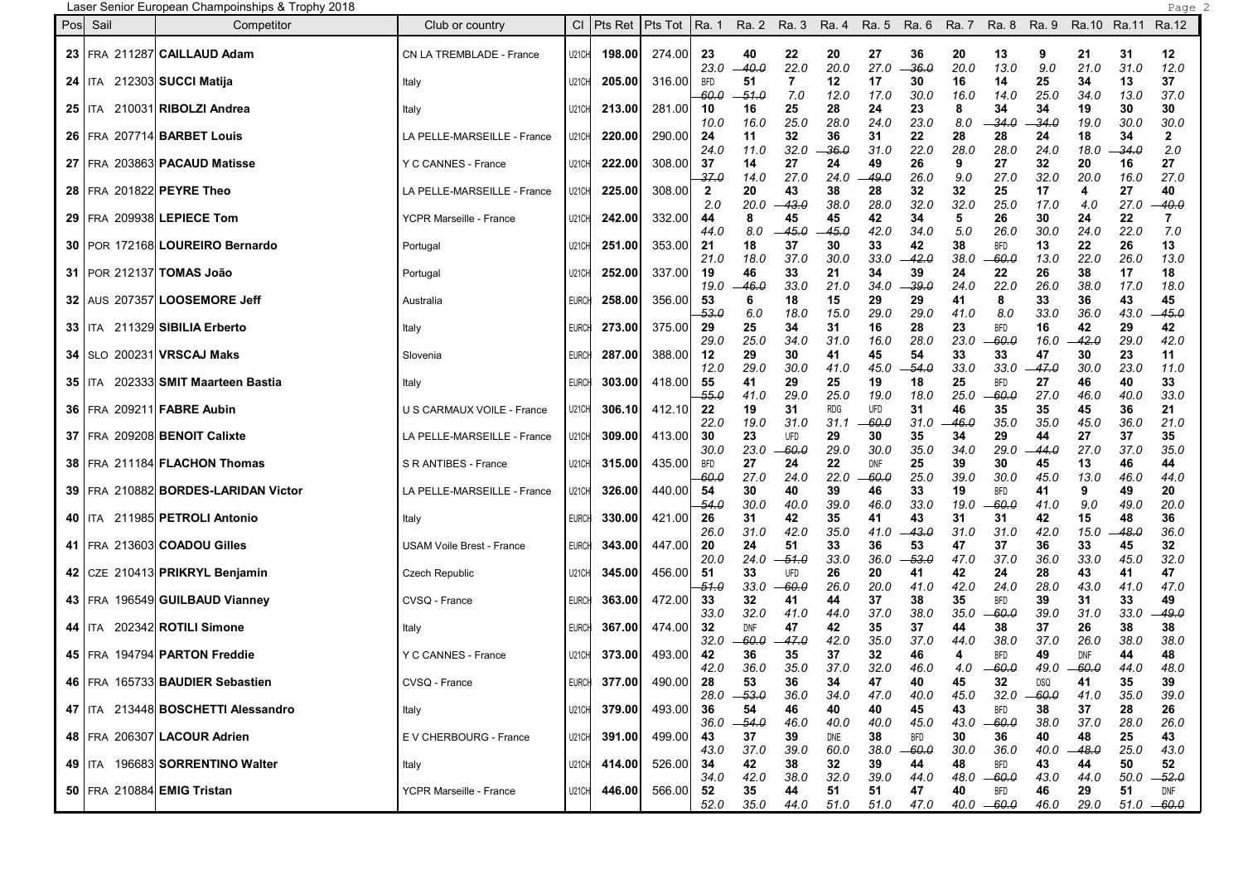Laser Senior European Champoinships & Trophy 2018 Page 2

| Pos | Sail       | Competitor                            | Club or country                  |              | $Cl$   Pts Ret | Pts Tot | Ra. 1                            |               |              | Ra. 2 Ra. 3 Ra. 4 |                    | Ra. 5 Ra. 6   | Ra. 7       | Ra. 8                      | Ra. 9                 | Ra.10 Ra.11 |             | Ra.12                |  |
|-----|------------|---------------------------------------|----------------------------------|--------------|----------------|---------|----------------------------------|---------------|--------------|-------------------|--------------------|---------------|-------------|----------------------------|-----------------------|-------------|-------------|----------------------|--|
|     |            | 23 FRA 211287 CAILLAUD Adam           | CN LA TREMBLADE - France         | U21CH        | 198.00         | 274.00  | 23<br>23.0                       | 40<br>-- 40.0 | 22<br>22.0   | 20<br>20.0        | 27<br>27.0         | 36<br>-36.0   | 20<br>20.0  | 13<br>13.0                 | 9<br>9.0              | 21<br>21.0  | 31<br>31.0  | 12<br>12.0           |  |
|     | 24   ITA   | 212303 SUCCI Matija                   | Italy                            | U21CH        | 205.00         | 316.00  | <b>BFD</b>                       | 51            | 7            | 12                | 17                 | 30            | 16          | 14                         | 25                    | 34          | 13          | 37                   |  |
|     |            | 25   ITA 210031 RIBOLZI Andrea        | Italy                            | U21CH        | 213.00         | 281.00  | 60.0<br>10                       | -51.0<br>16   | 7.0<br>25    | 12.0<br>28        | 17.0<br>24         | 30.0<br>23    | 16.0<br>8   | 14.0<br>34                 | 25.0<br>34            | 34.0<br>19  | 13.0<br>30  | 37.0<br>30           |  |
|     |            | 26   FRA 207714 BARBET Louis          | LA PELLE-MARSEILLE - France      | U21CH        | 220.00         | 290.00  | 10.0<br>24                       | 16.0<br>11    | 25.0<br>32   | 28.0<br>36        | 24.0<br>31         | 23.0<br>22    | 8.0<br>28   | 34.0<br>28                 | 34.0<br>24            | 19.0<br>18  | 30.0<br>34  | 30.0<br>$\mathbf{2}$ |  |
|     |            | 27   FRA 203863 PACAUD Matisse        | Y C CANNES - France              | U21CH        | 222.00         | 308.00  | 24.0<br>37                       | 11.0<br>14    | 32.0<br>27   | 36.0<br>24        | 31.0<br>49         | 22.0<br>26    | 28.0<br>9   | 28.0<br>27                 | 24.0<br>32            | 18.0<br>20  | -34.0<br>16 | 2.0<br>27            |  |
|     |            | 28 FRA 201822 PEYRE Theo              | LA PELLE-MARSEILLE - France      | U21CH        | 225.00         | 308.00  | -37.0<br>$\overline{\mathbf{2}}$ | 14.0<br>20    | 27.0<br>43   | 24.0<br>38        | 49.0<br>28         | 26.0<br>32    | 9.0<br>32   | 27.0<br>25                 | 32.0<br>17            | 20.0<br>4   | 16.0<br>27  | 27.0<br>40           |  |
|     |            | 29 FRA 209938 LEPIECE Tom             | YCPR Marseille - France          | U21CH        | 242.00         | 332.00  | 2.0<br>44                        | 20.0<br>8     | 43.0<br>45   | 38.0<br>45        | 28.0<br>42         | 32.0<br>34    | 32.0<br>5   | 25.0<br>26                 | 17.0<br>30            | 4.0<br>24   | 27.0<br>22  | 40.O<br>7            |  |
|     |            |                                       |                                  |              |                |         | 44.0                             | 8.0           | $-45.0$      | -45.0             | 42.0               | 34.0          | 5.0         | 26.0                       | 30.0                  | 24.0        | 22.0        | 7.0                  |  |
|     |            | 30   POR 172168 LOUREIRO Bernardo     | Portugal                         | <b>U21CH</b> | 251.00         | 353.00  | 21<br>21.0                       | 18<br>18.0    | 37<br>37.0   | 30<br>30.0        | 33<br>33.0         | 42<br>42.0    | 38<br>38.0  | <b>BFD</b><br>-60.0        | 13<br>13.0            | 22<br>22.0  | 26<br>26.0  | 13<br>13.0           |  |
|     |            | 31   POR 212137 TOMAS João            | Portugal                         | U21CH        | 252.00         | 337.00  | 19<br>19.0                       | 46<br>46.0    | 33<br>33.0   | 21<br>21.0        | 34<br>34.0         | 39<br>-39.0   | 24<br>24.0  | 22<br>22.0                 | 26<br>26.0            | 38<br>38.0  | 17<br>17.0  | 18<br>18.0           |  |
|     |            | 32   AUS 207357   LOOSEMORE Jeff      | Australia                        | <b>EURCI</b> | 258.00         | 356.00  | 53                               | 6             | 18           | 15                | 29                 | 29            | 41          | 8                          | 33                    | 36          | 43          | 45                   |  |
|     |            | 33   ITA 211329 SIBILIA Erberto       | Italy                            | <b>EURCI</b> | 273.00         | 375.00  | 53.0<br>29                       | 6.0<br>25     | 18.0<br>34   | 15.0<br>31        | 29.0<br>16         | 29.0<br>28    | 41.0<br>23  | 8.0<br><b>BFD</b>          | 33.0<br>16            | 36.0<br>42  | 43.0<br>29  | 45.0<br>42           |  |
|     |            |                                       |                                  |              |                |         | 29.0                             | 25.0          | 34.0         | 31.0              | 16.0               | 28.0          | 23.0        | -60.0                      | 16.0                  | 42.0        | 29.0        | 42.0                 |  |
|     |            | <b>34   SLO 200231 VRSCAJ Maks</b>    | Slovenia                         | <b>EURCI</b> | 287.00         | 388.00  | 12<br>12.0                       | 29<br>29.0    | 30<br>30.0   | 41<br>41.0        | 45<br>45.0         | 54<br>-54.0   | 33<br>33.0  | 33<br>33.0                 | 47<br>$-47.0$         | 30<br>30.0  | 23<br>23.0  | 11<br>11.0           |  |
|     | $35$   ITA | 202333 SMIT Maarteen Bastia           | Italy                            | <b>EURCI</b> | 303.00         | 418.00  | 55<br>-55.0                      | 41<br>41.0    | 29<br>29.0   | 25<br>25.0        | 19<br>19.0         | 18<br>18.0    | 25<br>25.0  | <b>BFD</b><br>-60.0        | 27<br>27.0            | 46<br>46.O  | 40<br>40.0  | 33<br>33.0           |  |
|     |            | 36   FRA 209211   FABRE Aubin         | U S CARMAUX VOILE - France       | U21CH        | 306.10         | 412.10  | 22                               | 19            | 31           | <b>RDG</b>        | UFD                | 31            | 46          | 35                         | 35                    | 45          | 36          | 21                   |  |
|     |            | 37   FRA 209208 BENOIT Calixte        | LA PELLE-MARSEILLE - France      | U21CH        | 309.00         | 413.00  | 22.0<br>30                       | 19.0<br>23    | 31.0<br>UFD  | 31.1<br>29        | -60.0<br>30        | 31.0<br>35    | -46.0<br>34 | 35.O<br>29                 | 35.0<br>44            | 45.O<br>27  | 36.0<br>37  | 21.0<br>35           |  |
|     |            | 38   FRA 211184 FLACHON Thomas        |                                  |              | 315.00         | 435.00  | 30.0                             | 23.0<br>27    | 60.0<br>24   | 29.0<br>22        | 30.0<br><b>DNF</b> | 35.0<br>25    | 34.0<br>39  | 29.0                       | 44.0                  | 27.0        | 37.0<br>46  | 35.0                 |  |
|     |            |                                       | S R ANTIBES - France             | U21CH        |                |         | BFD<br>-60.0                     | 27.0          | 24.0         | 22.0              | 60.0               | 25.0          | 39.0        | 30<br>30.0                 | 45<br>45.0            | 13<br>13.0  | 46.0        | 44<br>44.0           |  |
|     |            | 39   FRA 210882 BORDES-LARIDAN Victor | LA PELLE-MARSEILLE - France      | U21CH        | 326.00         | 440.00  | 54<br>54.0                       | 30<br>30.0    | 40<br>40.0   | 39<br>39.0        | 46<br>46.0         | 33<br>33.0    | 19<br>19.0  | <b>BFD</b><br>-60.0        | 41<br>41.0            | 9<br>9.0    | 49<br>49.0  | 20<br>20.0           |  |
|     |            | 40   ITA 211985 PETROLI Antonio       | Italy                            | <b>EURCH</b> | 330.00         | 421.00  | 26                               | 31            | 42           | 35                | 41                 | 43            | 31          | 31                         | 42                    | 15          | 48          | 36                   |  |
|     |            | 41   FRA 213603 COADOU Gilles         | <b>USAM Voile Brest - France</b> | <b>EURCH</b> | 343.00         | 447.00  | 26.0<br>20                       | 31.0<br>24    | 42.0<br>51   | 35.0<br>33        | 41.0<br>36         | 43.0<br>53    | 31.0<br>47  | 31.0<br>37                 | 42.0<br>36            | 15.0<br>33  | 48.0<br>45  | 36.0<br>32           |  |
|     |            |                                       |                                  |              |                |         | 20.0                             | 24.0          | -51.0        | 33.0              | 36.0               | 53.0          | 47.0        | 37.0                       | 36.0                  | 33.0        | 45.0        | 32.0                 |  |
|     |            | 42   CZE 210413 PRIKRYL Benjamin      | <b>Czech Republic</b>            | U21CH        | 345.00         | 456.00  | 51<br>-51.0                      | 33<br>33.0    | UFD<br>-60.0 | 26<br>26.0        | 20<br>20.0         | 41<br>41.0    | 42<br>42.0  | 24<br>24.0                 | 28<br>28.0            | 43<br>43.0  | 41<br>41.0  | 47<br>47.0           |  |
|     |            | 43   FRA 196549 GUILBAUD Vianney      | CVSQ - France                    | <b>EURCI</b> | 363.00         | 472.00  | 33<br>33.0                       | 32<br>32.0    | 41<br>41.0   | 44<br>44.0        | 37<br>37.0         | 38<br>38.0    | 35<br>35.O  | <b>BFD</b><br>-60.0        | 39<br>39.0            | 31<br>31.0  | 33<br>33.0  | 49<br>49.0           |  |
|     |            | 44   ITA 202342 ROTILI Simone         | Italy                            | <b>EURCH</b> | 367.00         | 474.00  | 32                               | <b>DNF</b>    | 47           | 42                | 35                 | 37            | 44          | 38                         | 37                    | 26          | 38          | 38                   |  |
|     |            | 45 FRA 194794 PARTON Freddie          | Y C CANNES - France              | U21CH        | 373.00         | 493.00  | 32.0<br>42                       | -60.0<br>36   | -47.0<br>35  | 42.0<br>37        | 35.0<br>32         | 37.0<br>46    | 44.O<br>4   | 38.0<br><b>BFD</b>         | 37.0<br>49            | 26.0<br>DNF | 38.0<br>44  | 38.0<br>48           |  |
|     |            |                                       |                                  |              |                |         | 42.0                             | 36.0          | 35.0         | 37.0              | 32.0               | 46.0          | 4.0         | $-60.0$                    | 49.0                  | $-60.0$     | 44.0        | 48.0                 |  |
|     |            | 46   FRA 165733 BAUDIER Sebastien     | CVSQ - France                    | <b>EURCH</b> | 377.00         | 490.00  | 28<br>28.0                       | 53<br>$-53.0$ | 36<br>36.0   | 34<br>34.0        | 47<br>47.0         | 40<br>40.0    | 45<br>45.0  | 32<br>32.0                 | <b>DSQ</b><br>$-60.0$ | 41<br>41.0  | 35<br>35.0  | 39<br>39.0           |  |
|     |            | 47   ITA 213448 BOSCHETTI Alessandro  | Italy                            | <b>U21CH</b> | 379.00         | 493.00  | 36<br>36.0                       | 54<br>$-54.0$ | 46<br>46.0   | 40<br>40.0        | 40<br>40.0         | 45<br>45.0    | 43<br>43.0  | <b>BFD</b><br>$-60.0$      | 38<br>38.0            | 37<br>37.0  | 28<br>28.0  | 26<br>26.0           |  |
|     |            | 48   FRA 206307 LACOUR Adrien         | E V CHERBOURG - France           | U21CH        | 391.00         | 499.00  | 43                               | 37            | 39           | DNE               | 38                 | <b>BFD</b>    | 30          | 36                         | 40                    | 48          | 25          | 43                   |  |
|     |            | 49   ITA 196683 SORRENTINO Walter     | Italy                            | <b>U21CH</b> | 414.00         | 526.00  | 43.0<br>34                       | 37.0<br>42    | 39.0<br>38   | 60.0<br>32        | 38.0<br>39         | $-60.0$<br>44 | 30.0<br>48  | 36.0<br><b>BFD</b>         | 40.0<br>43            | –48.0<br>44 | 25.0<br>50  | 43.0<br>52           |  |
|     |            |                                       |                                  |              |                |         | 34.0                             | 42.0          | 38.0         | 32.0              | 39.0               | 44.0          | 48.0        | $-60.0$                    | 43.0                  | 44.0        | 50.0        | $-52.0$              |  |
|     |            | 50   FRA 210884 EMIG Tristan          | YCPR Marseille - France          | <b>U21CH</b> | 446.00         | 566.00  | 52<br>52.0                       | 35<br>35.0    | 44<br>44.0   | 51<br>51.0        | 51<br>51.0         | 47<br>47.0    | 40          | <b>BFD</b><br>$40.0 -60.0$ | 46<br>46.0            | 29<br>29.0  | 51          | DNF<br>$51.0 - 60.0$ |  |